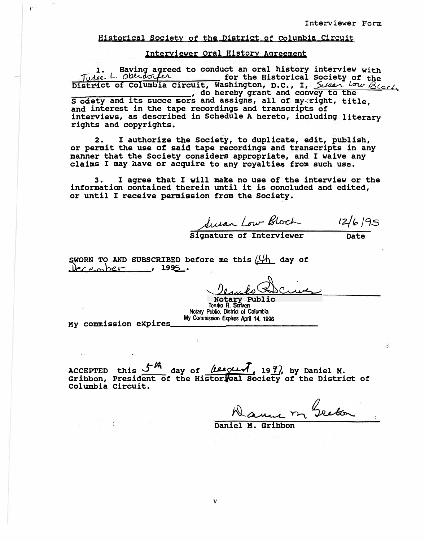## <u>Historical Society of the District of Columbia Circuit</u>

## Interviewer Oral History Agreement

Having agreed to conduct an oral history interview with 1. Having agreed<br>Judee L. Oberdorfer Tude L. Oblast for the Historical Society of the<br>District of Columbia circuit, Washington, D.C., I, Survey Low Block<br>of Society and its succe sors and assigns, all of my-right, title,<br>and interest in the tape recordings an rights and copyrights.

I authorize the Society, to duplicate, edit, publish,  $2.$ or permit the use of said tape recordings and transcripts in any manner that the Society considers appropriate, and I waive any claims I may have or acquire to any royalties from such use.

I agree that I will make no use of the interview or the з. information contained therein until it is concluded and edited, or until I receive permission from the Society.

Susan Low Bloch 12/6/95

 $\therefore$ 

SWORN TO AND SUBSCRIBED before me this  $\sqrt{\mu}$  day of <u>December</u>, 1995.

Notary Public<br>Tenko R. Scriven Notary Public, District of Columbia My Commission Expires April 14, 1996

My commission expires

 $\mathcal{I}$ 

ACCEPTED this  $\frac{f^{\frac{1}{m}}}{\sqrt{2}}$  day of *Leegen*, 19*9*, by Daniel M. Gribbon, President of the Historical Society of the District of Columbia Circuit.

Danne m Greben

Daniel M. Gribbon